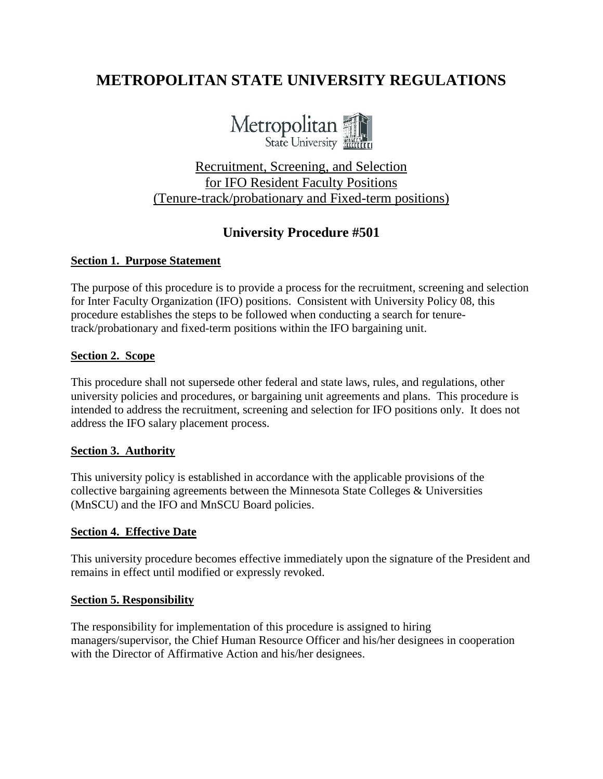# **METROPOLITAN STATE UNIVERSITY REGULATIONS**



## Recruitment, Screening, and Selection for IFO Resident Faculty Positions (Tenure-track/probationary and Fixed-term positions)

## **University Procedure #501**

#### **Section 1. Purpose Statement**

The purpose of this procedure is to provide a process for the recruitment, screening and selection for Inter Faculty Organization (IFO) positions. Consistent with University Policy 08, this procedure establishes the steps to be followed when conducting a search for tenuretrack/probationary and fixed-term positions within the IFO bargaining unit.

#### **Section 2. Scope**

This procedure shall not supersede other federal and state laws, rules, and regulations, other university policies and procedures, or bargaining unit agreements and plans. This procedure is intended to address the recruitment, screening and selection for IFO positions only. It does not address the IFO salary placement process.

#### **Section 3. Authority**

This university policy is established in accordance with the applicable provisions of the collective bargaining agreements between the Minnesota State Colleges & Universities (MnSCU) and the IFO and MnSCU Board policies.

#### **Section 4. Effective Date**

This university procedure becomes effective immediately upon the signature of the President and remains in effect until modified or expressly revoked.

#### **Section 5. Responsibility**

The responsibility for implementation of this procedure is assigned to hiring managers/supervisor, the Chief Human Resource Officer and his/her designees in cooperation with the Director of Affirmative Action and his/her designees.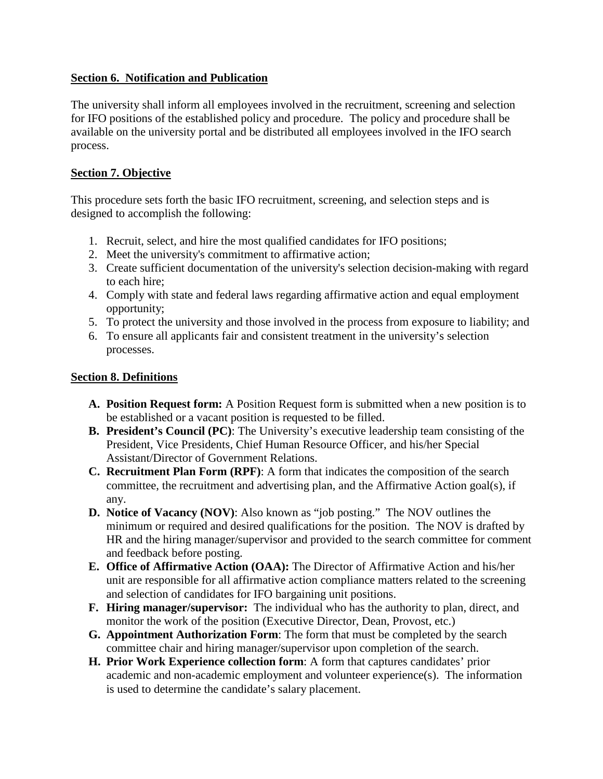## **Section 6. Notification and Publication**

The university shall inform all employees involved in the recruitment, screening and selection for IFO positions of the established policy and procedure. The policy and procedure shall be available on the university portal and be distributed all employees involved in the IFO search process.

## **Section 7. Objective**

This procedure sets forth the basic IFO recruitment, screening, and selection steps and is designed to accomplish the following:

- 1. Recruit, select, and hire the most qualified candidates for IFO positions;
- 2. Meet the university's commitment to affirmative action;
- 3. Create sufficient documentation of the university's selection decision-making with regard to each hire;
- 4. Comply with state and federal laws regarding affirmative action and equal employment opportunity;
- 5. To protect the university and those involved in the process from exposure to liability; and
- 6. To ensure all applicants fair and consistent treatment in the university's selection processes.

## **Section 8. Definitions**

- **A. Position Request form:** A Position Request form is submitted when a new position is to be established or a vacant position is requested to be filled.
- **B. President's Council (PC)**: The University's executive leadership team consisting of the President, Vice Presidents, Chief Human Resource Officer, and his/her Special Assistant/Director of Government Relations.
- **C. Recruitment Plan Form (RPF)**: A form that indicates the composition of the search committee, the recruitment and advertising plan, and the Affirmative Action goal(s), if any.
- **D. Notice of Vacancy (NOV)**: Also known as "job posting." The NOV outlines the minimum or required and desired qualifications for the position. The NOV is drafted by HR and the hiring manager/supervisor and provided to the search committee for comment and feedback before posting.
- **E. Office of Affirmative Action (OAA):** The Director of Affirmative Action and his/her unit are responsible for all affirmative action compliance matters related to the screening and selection of candidates for IFO bargaining unit positions.
- **F. Hiring manager/supervisor:** The individual who has the authority to plan, direct, and monitor the work of the position (Executive Director, Dean, Provost, etc.)
- **G. Appointment Authorization Form**: The form that must be completed by the search committee chair and hiring manager/supervisor upon completion of the search.
- **H. Prior Work Experience collection form**: A form that captures candidates' prior academic and non-academic employment and volunteer experience(s). The information is used to determine the candidate's salary placement.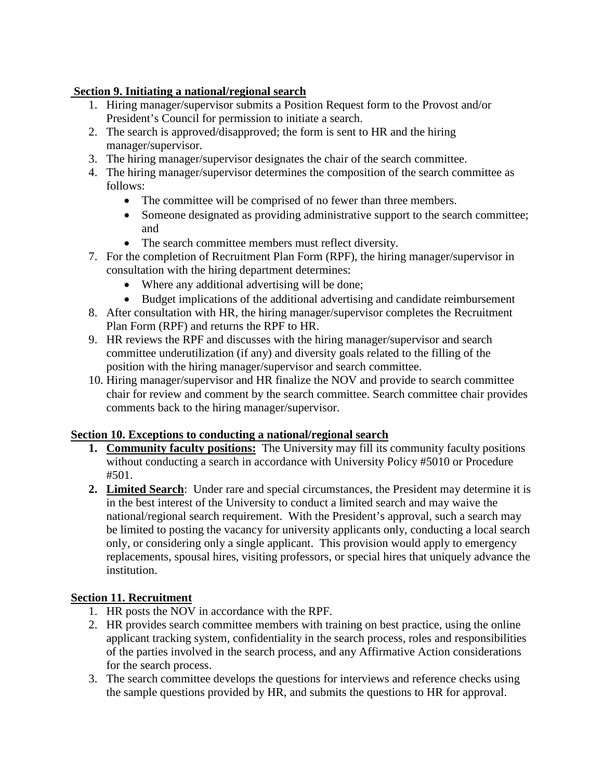## **Section 9. Initiating a national/regional search**

- 1. Hiring manager/supervisor submits a Position Request form to the Provost and/or President's Council for permission to initiate a search.
- 2. The search is approved/disapproved; the form is sent to HR and the hiring manager/supervisor.
- 3. The hiring manager/supervisor designates the chair of the search committee.
- 4. The hiring manager/supervisor determines the composition of the search committee as follows:
	- The committee will be comprised of no fewer than three members.
	- Someone designated as providing administrative support to the search committee; and
	- The search committee members must reflect diversity.
- 7. For the completion of Recruitment Plan Form (RPF), the hiring manager/supervisor in consultation with the hiring department determines:
	- Where any additional advertising will be done;
	- Budget implications of the additional advertising and candidate reimbursement
- 8. After consultation with HR, the hiring manager/supervisor completes the Recruitment Plan Form (RPF) and returns the RPF to HR.
- 9. HR reviews the RPF and discusses with the hiring manager/supervisor and search committee underutilization (if any) and diversity goals related to the filling of the position with the hiring manager/supervisor and search committee.
- 10. Hiring manager/supervisor and HR finalize the NOV and provide to search committee chair for review and comment by the search committee. Search committee chair provides comments back to the hiring manager/supervisor.

## **Section 10. Exceptions to conducting a national/regional search**

- **1. Community faculty positions:** The University may fill its community faculty positions without conducting a search in accordance with University Policy #5010 or Procedure #501.
- **2. Limited Search**: Under rare and special circumstances, the President may determine it is in the best interest of the University to conduct a limited search and may waive the national/regional search requirement. With the President's approval, such a search may be limited to posting the vacancy for university applicants only, conducting a local search only, or considering only a single applicant. This provision would apply to emergency replacements, spousal hires, visiting professors, or special hires that uniquely advance the institution.

## **Section 11. Recruitment**

- 1. HR posts the NOV in accordance with the RPF.
- 2. HR provides search committee members with training on best practice, using the online applicant tracking system, confidentiality in the search process, roles and responsibilities of the parties involved in the search process, and any Affirmative Action considerations for the search process.
- 3. The search committee develops the questions for interviews and reference checks using the sample questions provided by HR, and submits the questions to HR for approval.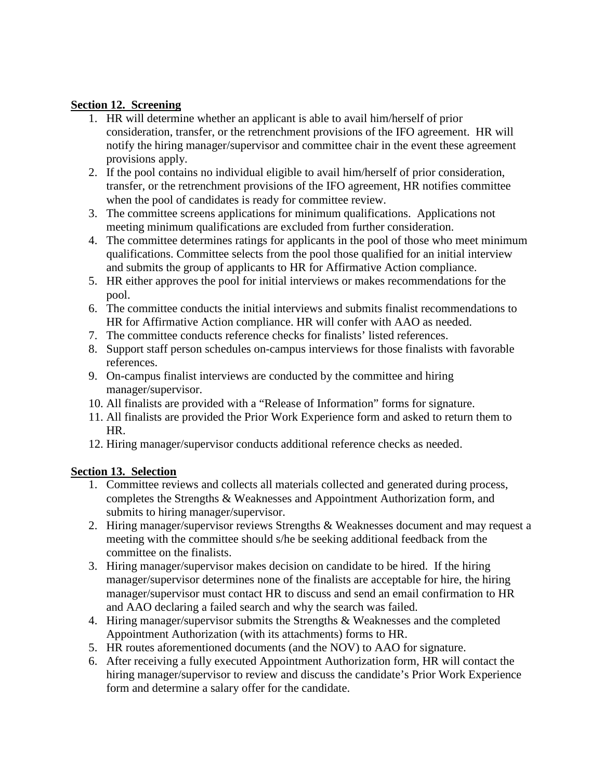### **Section 12. Screening**

- 1. HR will determine whether an applicant is able to avail him/herself of prior consideration, transfer, or the retrenchment provisions of the IFO agreement. HR will notify the hiring manager/supervisor and committee chair in the event these agreement provisions apply.
- 2. If the pool contains no individual eligible to avail him/herself of prior consideration, transfer, or the retrenchment provisions of the IFO agreement, HR notifies committee when the pool of candidates is ready for committee review.
- 3. The committee screens applications for minimum qualifications. Applications not meeting minimum qualifications are excluded from further consideration.
- 4. The committee determines ratings for applicants in the pool of those who meet minimum qualifications. Committee selects from the pool those qualified for an initial interview and submits the group of applicants to HR for Affirmative Action compliance.
- 5. HR either approves the pool for initial interviews or makes recommendations for the pool.
- 6. The committee conducts the initial interviews and submits finalist recommendations to HR for Affirmative Action compliance. HR will confer with AAO as needed.
- 7. The committee conducts reference checks for finalists' listed references.
- 8. Support staff person schedules on-campus interviews for those finalists with favorable references.
- 9. On-campus finalist interviews are conducted by the committee and hiring manager/supervisor.
- 10. All finalists are provided with a "Release of Information" forms for signature.
- 11. All finalists are provided the Prior Work Experience form and asked to return them to HR.
- 12. Hiring manager/supervisor conducts additional reference checks as needed.

## **Section 13. Selection**

- 1. Committee reviews and collects all materials collected and generated during process, completes the Strengths & Weaknesses and Appointment Authorization form, and submits to hiring manager/supervisor.
- 2. Hiring manager/supervisor reviews Strengths & Weaknesses document and may request a meeting with the committee should s/he be seeking additional feedback from the committee on the finalists.
- 3. Hiring manager/supervisor makes decision on candidate to be hired. If the hiring manager/supervisor determines none of the finalists are acceptable for hire, the hiring manager/supervisor must contact HR to discuss and send an email confirmation to HR and AAO declaring a failed search and why the search was failed.
- 4. Hiring manager/supervisor submits the Strengths & Weaknesses and the completed Appointment Authorization (with its attachments) forms to HR.
- 5. HR routes aforementioned documents (and the NOV) to AAO for signature.
- 6. After receiving a fully executed Appointment Authorization form, HR will contact the hiring manager/supervisor to review and discuss the candidate's Prior Work Experience form and determine a salary offer for the candidate.